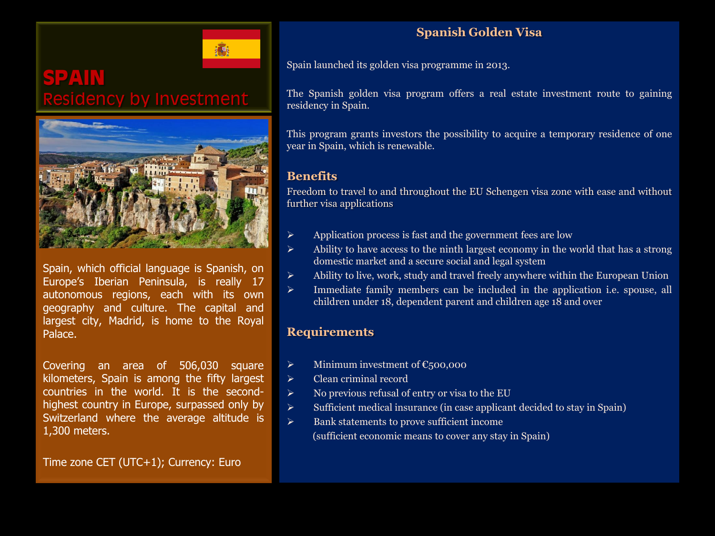

# **SPAIN** dency by Investment



Spain, which official language is Spanish, on Europe's Iberian Peninsula, is really 17 autonomous regions, each with its own geography and culture. The capital and largest city, Madrid, is home to the Royal Palace.

Covering an area of 506,030 square kilometers, Spain is among the fifty largest countries in the world. It is the secondhighest country in Europe, surpassed only by Switzerland where the average altitude is 1,300 meters.

Time zone CET (UTC+1); Currency: Euro

## **Spanish Golden Visa**

Spain launched its golden visa programme in 2013.

The Spanish golden visa program offers a real estate investment route to gaining residency in Spain.

This program grants investors the possibility to acquire a temporary residence of one year in Spain, which is renewable.

## **Benefits**

Freedom to travel to and throughout the EU Schengen visa zone with ease and without further visa applications

- Application process is fast and the government fees are low
- $\triangleright$  Ability to have access to the ninth largest economy in the world that has a strong domestic market and a secure social and legal system
- $\triangleright$  Ability to live, work, study and travel freely anywhere within the European Union
- $\triangleright$  Immediate family members can be included in the application i.e. spouse, all children under 18, dependent parent and children age 18 and over

### **Requirements**

- $\triangleright$  Minimum investment of  $\epsilon$ 500,000
- Clean criminal record
- $\triangleright$  No previous refusal of entry or visa to the EU
- $\triangleright$  Sufficient medical insurance (in case applicant decided to stay in Spain)
- $\triangleright$  Bank statements to prove sufficient income (sufficient economic means to cover any stay in Spain)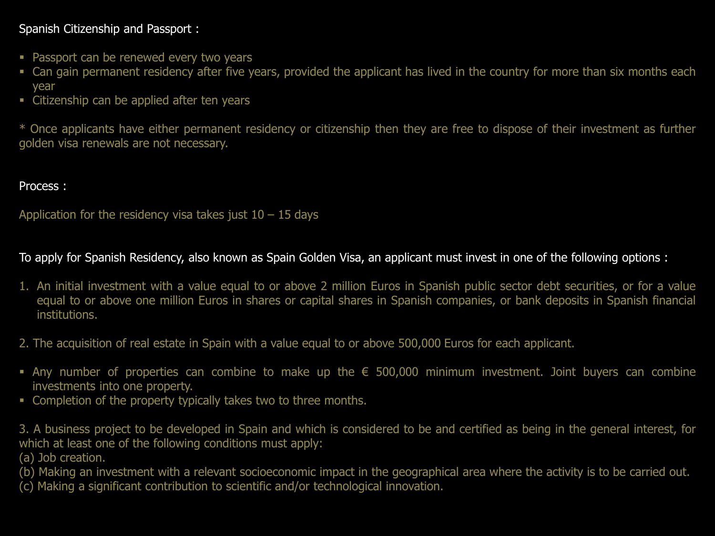## Spanish Citizenship and Passport :

- **Passport can be renewed every two years**
- Can gain permanent residency after five years, provided the applicant has lived in the country for more than six months each year
- **EXEC** Citizenship can be applied after ten years

\* Once applicants have either permanent residency or citizenship then they are free to dispose of their investment as further golden visa renewals are not necessary.

## Process :

Application for the residency visa takes just  $10 - 15$  days

To apply for Spanish Residency, also known as Spain Golden Visa, an applicant must invest in one of the following options :

- 1. An initial investment with a value equal to or above 2 million Euros in Spanish public sector debt securities, or for a value equal to or above one million Euros in shares or capital shares in Spanish companies, or bank deposits in Spanish financial institutions.
- 2. The acquisition of real estate in Spain with a value equal to or above 500,000 Euros for each applicant.
- Any number of properties can combine to make up the € 500,000 minimum investment. Joint buyers can combine investments into one property.
- **Completion of the property typically takes two to three months.**

3. A business project to be developed in Spain and which is considered to be and certified as being in the general interest, for which at least one of the following conditions must apply:

(a) Job creation.

(b) Making an investment with a relevant socioeconomic impact in the geographical area where the activity is to be carried out.

(c) Making a significant contribution to scientific and/or technological innovation.